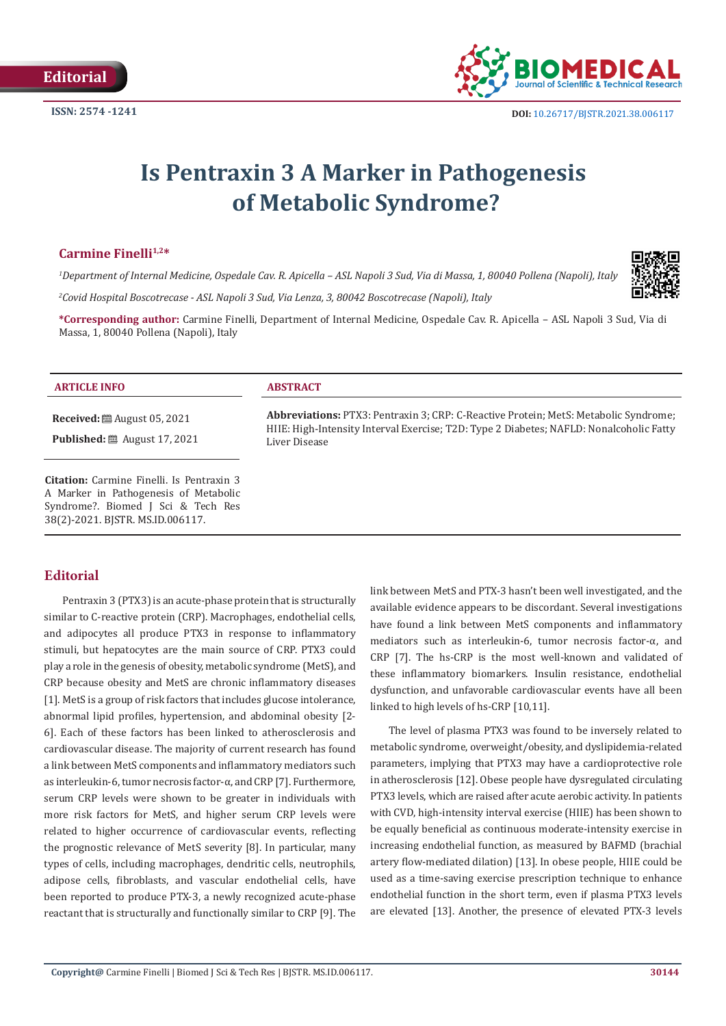

# **Is Pentraxin 3 A Marker in Pathogenesis of Metabolic Syndrome?**

## Carmine Finelli<sup>1,2\*</sup>

*1 Department of Internal Medicine, Ospedale Cav. R. Apicella – ASL Napoli 3 Sud, Via di Massa, 1, 80040 Pollena (Napoli), Italy*

*2 Covid Hospital Boscotrecase - ASL Napoli 3 Sud, Via Lenza, 3, 80042 Boscotrecase (Napoli), Italy*

**\*Corresponding author:** Carmine Finelli, Department of Internal Medicine, Ospedale Cav. R. Apicella – ASL Napoli 3 Sud, Via di Massa, 1, 80040 Pollena (Napoli), Italy

#### **ARTICLE INFO ABSTRACT**

**Received:** August 05, 2021

**Published:** ■ August 17, 2021

**Citation:** Carmine Finelli. Is Pentraxin 3 A Marker in Pathogenesis of Metabolic Syndrome?. Biomed J Sci & Tech Res 38(2)-2021. BJSTR. MS.ID.006117.

## **Editorial**

Pentraxin 3 (PTX3) is an acute-phase protein that is structurally similar to C-reactive protein (CRP). Macrophages, endothelial cells, and adipocytes all produce PTX3 in response to inflammatory stimuli, but hepatocytes are the main source of CRP. PTX3 could play a role in the genesis of obesity, metabolic syndrome (MetS), and CRP because obesity and MetS are chronic inflammatory diseases [1]. MetS is a group of risk factors that includes glucose intolerance, abnormal lipid profiles, hypertension, and abdominal obesity [2- 6]. Each of these factors has been linked to atherosclerosis and cardiovascular disease. The majority of current research has found a link between MetS components and inflammatory mediators such as interleukin-6, tumor necrosis factor-α, and CRP [7]. Furthermore, serum CRP levels were shown to be greater in individuals with more risk factors for MetS, and higher serum CRP levels were related to higher occurrence of cardiovascular events, reflecting the prognostic relevance of MetS severity [8]. In particular, many types of cells, including macrophages, dendritic cells, neutrophils, adipose cells, fibroblasts, and vascular endothelial cells, have been reported to produce PTX-3, a newly recognized acute-phase reactant that is structurally and functionally similar to CRP [9]. The

**Abbreviations:** PTX3: Pentraxin 3; CRP: C-Reactive Protein; MetS: Metabolic Syndrome; HIIE: High-Intensity Interval Exercise; T2D: Type 2 Diabetes; NAFLD: Nonalcoholic Fatty Liver Disease

> link between MetS and PTX-3 hasn't been well investigated, and the available evidence appears to be discordant. Several investigations have found a link between MetS components and inflammatory mediators such as interleukin-6, tumor necrosis factor-α, and CRP [7]. The hs-CRP is the most well-known and validated of these inflammatory biomarkers. Insulin resistance, endothelial dysfunction, and unfavorable cardiovascular events have all been linked to high levels of hs-CRP [10,11].

> The level of plasma PTX3 was found to be inversely related to metabolic syndrome, overweight/obesity, and dyslipidemia-related parameters, implying that PTX3 may have a cardioprotective role in atherosclerosis [12]. Obese people have dysregulated circulating PTX3 levels, which are raised after acute aerobic activity. In patients with CVD, high-intensity interval exercise (HIIE) has been shown to be equally beneficial as continuous moderate-intensity exercise in increasing endothelial function, as measured by BAFMD (brachial artery flow-mediated dilation) [13]. In obese people, HIIE could be used as a time-saving exercise prescription technique to enhance endothelial function in the short term, even if plasma PTX3 levels are elevated [13]. Another, the presence of elevated PTX-3 levels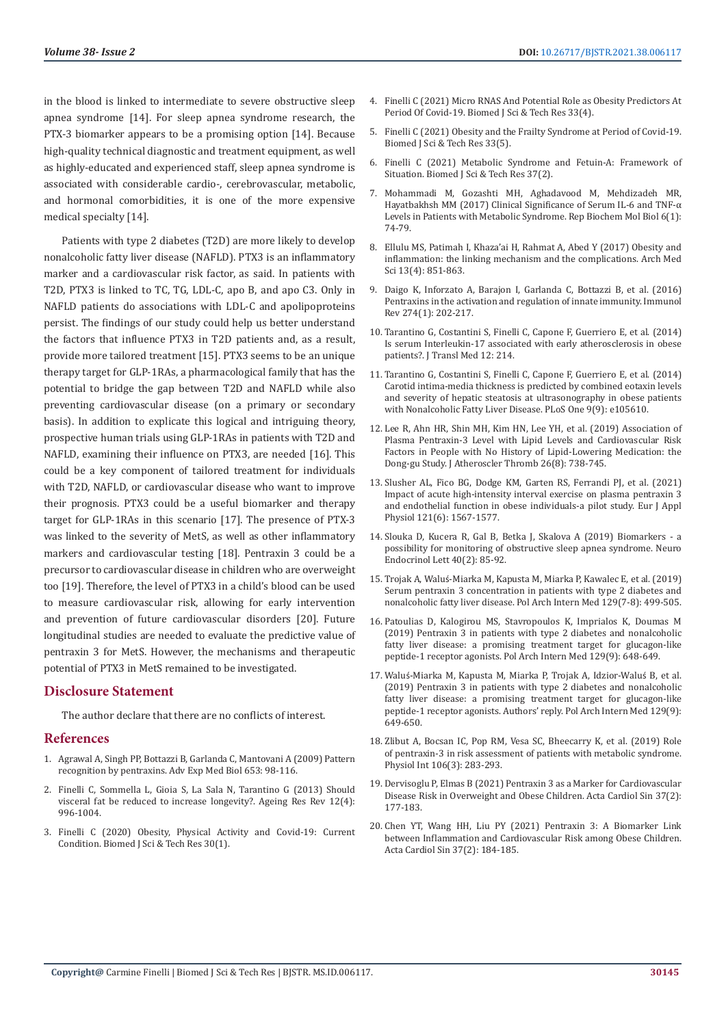in the blood is linked to intermediate to severe obstructive sleep apnea syndrome [14]. For sleep apnea syndrome research, the PTX-3 biomarker appears to be a promising option [14]. Because high-quality technical diagnostic and treatment equipment, as well as highly-educated and experienced staff, sleep apnea syndrome is associated with considerable cardio-, cerebrovascular, metabolic, and hormonal comorbidities, it is one of the more expensive medical specialty [14].

Patients with type 2 diabetes (T2D) are more likely to develop nonalcoholic fatty liver disease (NAFLD). PTX3 is an inflammatory marker and a cardiovascular risk factor, as said. In patients with T2D, PTX3 is linked to TC, TG, LDL-C, apo B, and apo C3. Only in NAFLD patients do associations with LDL-C and apolipoproteins persist. The findings of our study could help us better understand the factors that influence PTX3 in T2D patients and, as a result, provide more tailored treatment [15]. PTX3 seems to be an unique therapy target for GLP-1RAs, a pharmacological family that has the potential to bridge the gap between T2D and NAFLD while also preventing cardiovascular disease (on a primary or secondary basis). In addition to explicate this logical and intriguing theory, prospective human trials using GLP-1RAs in patients with T2D and NAFLD, examining their influence on PTX3, are needed [16]. This could be a key component of tailored treatment for individuals with T2D, NAFLD, or cardiovascular disease who want to improve their prognosis. PTX3 could be a useful biomarker and therapy target for GLP-1RAs in this scenario [17]. The presence of PTX-3 was linked to the severity of MetS, as well as other inflammatory markers and cardiovascular testing [18]. Pentraxin 3 could be a precursor to cardiovascular disease in children who are overweight too [19]. Therefore, the level of PTX3 in a child's blood can be used to measure cardiovascular risk, allowing for early intervention and prevention of future cardiovascular disorders [20]. Future longitudinal studies are needed to evaluate the predictive value of pentraxin 3 for MetS. However, the mechanisms and therapeutic potential of PTX3 in MetS remained to be investigated.

#### **Disclosure Statement**

The author declare that there are no conflicts of interest.

### **References**

- 1. [Agrawal A, Singh PP, Bottazzi B, Garlanda C, Mantovani A \(2009\) Pattern](https://pubmed.ncbi.nlm.nih.gov/19799114/)  [recognition by pentraxins. Adv Exp Med Biol 653: 98-116.](https://pubmed.ncbi.nlm.nih.gov/19799114/)
- 2. [Finelli C, Sommella L, Gioia S, La Sala N, Tarantino G \(2013\) Should](https://pubmed.ncbi.nlm.nih.gov/23764746/)  [visceral fat be reduced to increase longevity?. Ageing Res Rev 12\(4\):](https://pubmed.ncbi.nlm.nih.gov/23764746/)  [996-1004.](https://pubmed.ncbi.nlm.nih.gov/23764746/)
- 3. [Finelli C \(2020\) Obesity, Physical Activity and Covid-19: Current](https://econpapers.repec.org/article/abfjournl/v_3a30_3ay_3a2020_3ai_3a1_3ap_3a23004-23006.htm)  [Condition. Biomed J Sci & Tech Res 30\(1\).](https://econpapers.repec.org/article/abfjournl/v_3a30_3ay_3a2020_3ai_3a1_3ap_3a23004-23006.htm)
- 4. [Finelli C \(2021\) Micro RNAS And Potential Role as Obesity Predictors At](https://biomedres.us/fulltexts/BJSTR.MS.ID.005421.php) [Period Of Covid-19. Biomed J Sci & Tech Res 33\(4\).](https://biomedres.us/fulltexts/BJSTR.MS.ID.005421.php)
- 5. [Finelli C \(2021\) Obesity and the Frailty Syndrome at Period of Covid-19.](https://biomedres.us/pdfs/BJSTR.MS.ID.005470.pdf) [Biomed J Sci & Tech Res 33\(5\).](https://biomedres.us/pdfs/BJSTR.MS.ID.005470.pdf)
- 6. [Finelli C \(2021\) Metabolic Syndrome and Fetuin-A: Framework of](https://biomedres.us/pdfs/BJSTR.MS.ID.005980.pdf) [Situation. Biomed J Sci & Tech Res 37\(2\).](https://biomedres.us/pdfs/BJSTR.MS.ID.005980.pdf)
- 7. [Mohammadi M, Gozashti MH, Aghadavood M, Mehdizadeh MR,](https://pubmed.ncbi.nlm.nih.gov/29090232/) [Hayatbakhsh MM \(2017\) Clinical Significance of Serum IL-6 and TNF-α](https://pubmed.ncbi.nlm.nih.gov/29090232/) [Levels in Patients with Metabolic Syndrome. Rep Biochem Mol Biol 6\(1\):](https://pubmed.ncbi.nlm.nih.gov/29090232/) [74-79.](https://pubmed.ncbi.nlm.nih.gov/29090232/)
- 8. [Ellulu MS, Patimah I, Khaza'ai H, Rahmat A, Abed Y \(2017\) Obesity and](https://pubmed.ncbi.nlm.nih.gov/28721154/) [inflammation: the linking mechanism and the complications. Arch Med](https://pubmed.ncbi.nlm.nih.gov/28721154/) [Sci 13\(4\): 851-863.](https://pubmed.ncbi.nlm.nih.gov/28721154/)
- 9. [Daigo K, Inforzato A, Barajon I, Garlanda C, Bottazzi B, et al. \(2016\)](https://pubmed.ncbi.nlm.nih.gov/27782337/) [Pentraxins in the activation and regulation of innate immunity. Immunol](https://pubmed.ncbi.nlm.nih.gov/27782337/) [Rev 274\(1\): 202-217.](https://pubmed.ncbi.nlm.nih.gov/27782337/)
- 10. [Tarantino G, Costantini S, Finelli C, Capone F, Guerriero E, et al. \(2014\)](https://pubmed.ncbi.nlm.nih.gov/25092442/) [Is serum Interleukin-17 associated with early atherosclerosis in obese](https://pubmed.ncbi.nlm.nih.gov/25092442/) [patients?. J Transl Med 12: 214.](https://pubmed.ncbi.nlm.nih.gov/25092442/)
- 11. [Tarantino G, Costantini S, Finelli C, Capone F, Guerriero E, et al. \(2014\)](https://pubmed.ncbi.nlm.nih.gov/25268946/) [Carotid intima-media thickness is predicted by combined eotaxin levels](https://pubmed.ncbi.nlm.nih.gov/25268946/) [and severity of hepatic steatosis at ultrasonography in obese patients](https://pubmed.ncbi.nlm.nih.gov/25268946/) [with Nonalcoholic Fatty Liver Disease. PLoS One 9\(9\): e105610.](https://pubmed.ncbi.nlm.nih.gov/25268946/)
- 12. [Lee R, Ahn HR, Shin MH, Kim HN, Lee YH, et al. \(2019\) Association of](https://pubmed.ncbi.nlm.nih.gov/30674758/) [Plasma Pentraxin-3 Level with Lipid Levels and Cardiovascular Risk](https://pubmed.ncbi.nlm.nih.gov/30674758/) [Factors in People with No History of Lipid-Lowering Medication: the](https://pubmed.ncbi.nlm.nih.gov/30674758/) [Dong-gu Study. J Atheroscler Thromb 26\(8\): 738-745.](https://pubmed.ncbi.nlm.nih.gov/30674758/)
- 13. [Slusher AL, Fico BG, Dodge KM, Garten RS, Ferrandi PJ, et al. \(2021\)](https://pubmed.ncbi.nlm.nih.gov/33638689/) [Impact of acute high-intensity interval exercise on plasma pentraxin 3](https://pubmed.ncbi.nlm.nih.gov/33638689/) [and endothelial function in obese individuals-a pilot study. Eur J Appl](https://pubmed.ncbi.nlm.nih.gov/33638689/) [Physiol 121\(6\): 1567-1577.](https://pubmed.ncbi.nlm.nih.gov/33638689/)
- 14. [Slouka D, Kucera R, Gal B, Betka J, Skalova A \(2019\) Biomarkers a](https://pubmed.ncbi.nlm.nih.gov/31785215/) [possibility for monitoring of obstructive sleep apnea syndrome. Neuro](https://pubmed.ncbi.nlm.nih.gov/31785215/) [Endocrinol Lett 40\(2\): 85-92.](https://pubmed.ncbi.nlm.nih.gov/31785215/)
- 15. Trojak A, Waluś[-Miarka M, Kapusta M, Miarka P, Kawalec E, et al. \(2019\)](https://pubmed.ncbi.nlm.nih.gov/31469122/) [Serum pentraxin 3 concentration in patients with type 2 diabetes and](https://pubmed.ncbi.nlm.nih.gov/31469122/) [nonalcoholic fatty liver disease. Pol Arch Intern Med 129\(7-8\): 499-505.](https://pubmed.ncbi.nlm.nih.gov/31469122/)
- 16. [Patoulias D, Kalogirou MS, Stavropoulos K, Imprialos K, Doumas M](https://pubmed.ncbi.nlm.nih.gov/31566590/) [\(2019\) Pentraxin 3 in patients with type 2 diabetes and nonalcoholic](https://pubmed.ncbi.nlm.nih.gov/31566590/) [fatty liver disease: a promising treatment target for glucagon-like](https://pubmed.ncbi.nlm.nih.gov/31566590/) [peptide-1 receptor agonists. Pol Arch Intern Med 129\(9\): 648-649.](https://pubmed.ncbi.nlm.nih.gov/31566590/)
- 17. Waluś[-Miarka M, Kapusta M, Miarka P, Trojak A, Idzior-Walu](https://pubmed.ncbi.nlm.nih.gov/31566589/)ś B, et al. [\(2019\) Pentraxin 3 in patients with type 2 diabetes and nonalcoholic](https://pubmed.ncbi.nlm.nih.gov/31566589/) [fatty liver disease: a promising treatment target for glucagon-like](https://pubmed.ncbi.nlm.nih.gov/31566589/) [peptide-1 receptor agonists. Authors' reply. Pol Arch Intern Med 129\(9\):](https://pubmed.ncbi.nlm.nih.gov/31566589/) [649-650.](https://pubmed.ncbi.nlm.nih.gov/31566589/)
- 18. [Zlibut A, Bocsan IC, Pop RM, Vesa SC, Bheecarry K, et al. \(2019\) Role](https://pubmed.ncbi.nlm.nih.gov/31560233/) [of pentraxin-3 in risk assessment of patients with metabolic syndrome.](https://pubmed.ncbi.nlm.nih.gov/31560233/) [Physiol Int 106\(3\): 283-293.](https://pubmed.ncbi.nlm.nih.gov/31560233/)
- 19. [Dervisoglu P, Elmas B \(2021\) Pentraxin 3 as a Marker for Cardiovascular](https://pubmed.ncbi.nlm.nih.gov/33716459/) [Disease Risk in Overweight and Obese Children. Acta Cardiol Sin 37\(2\):](https://pubmed.ncbi.nlm.nih.gov/33716459/) [177-183.](https://pubmed.ncbi.nlm.nih.gov/33716459/)
- 20. [Chen YT, Wang HH, Liu PY \(2021\) Pentraxin 3: A Biomarker Link](https://pubmed.ncbi.nlm.nih.gov/33716460/) [between Inflammation and Cardiovascular Risk among Obese Children.](https://pubmed.ncbi.nlm.nih.gov/33716460/) [Acta Cardiol Sin 37\(2\): 184-185.](https://pubmed.ncbi.nlm.nih.gov/33716460/)